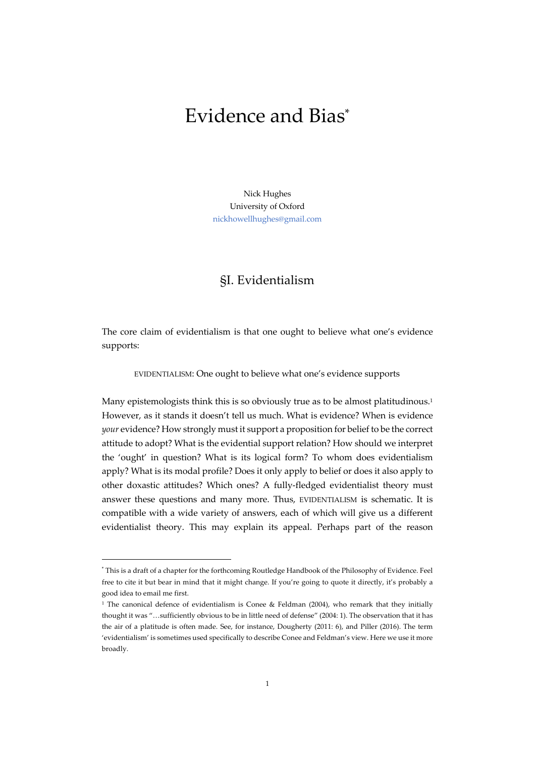# Evidence and Bias\*

Nick Hughes University of Oxford nickhowellhughes@gmail.com

# §I. Evidentialism

The core claim of evidentialism is that one ought to believe what one's evidence supports:

EVIDENTIALISM: One ought to believe what one's evidence supports

Many epistemologists think this is so obviously true as to be almost platitudinous.<sup>1</sup> However, as it stands it doesn't tell us much. What is evidence? When is evidence *your* evidence? How strongly must it support a proposition for belief to be the correct attitude to adopt? What is the evidential support relation? How should we interpret the 'ought' in question? What is its logical form? To whom does evidentialism apply? What is its modal profile? Does it only apply to belief or does it also apply to other doxastic attitudes? Which ones? A fully-fledged evidentialist theory must answer these questions and many more. Thus, EVIDENTIALISM is schematic. It is compatible with a wide variety of answers, each of which will give us a different evidentialist theory. This may explain its appeal. Perhaps part of the reason

<sup>\*</sup> This is a draft of a chapter for the forthcoming Routledge Handbook of the Philosophy of Evidence. Feel free to cite it but bear in mind that it might change. If you're going to quote it directly, it's probably a good idea to email me first.

<sup>&</sup>lt;sup>1</sup> The canonical defence of evidentialism is Conee & Feldman (2004), who remark that they initially thought it was "…sufficiently obvious to be in little need of defense" (2004: 1). The observation that it has the air of a platitude is often made. See, for instance, Dougherty (2011: 6), and Piller (2016). The term 'evidentialism' is sometimes used specifically to describe Conee and Feldman's view. Here we use it more broadly.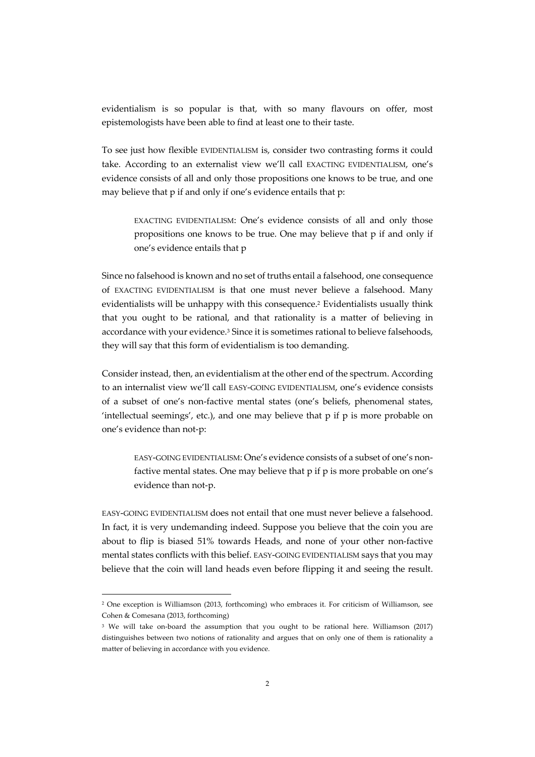evidentialism is so popular is that, with so many flavours on offer, most epistemologists have been able to find at least one to their taste.

To see just how flexible EVIDENTIALISM is, consider two contrasting forms it could take. According to an externalist view we'll call EXACTING EVIDENTIALISM, one's evidence consists of all and only those propositions one knows to be true, and one may believe that p if and only if one's evidence entails that p:

EXACTING EVIDENTIALISM: One's evidence consists of all and only those propositions one knows to be true. One may believe that p if and only if one's evidence entails that p

Since no falsehood is known and no set of truths entail a falsehood, one consequence of EXACTING EVIDENTIALISM is that one must never believe a falsehood. Many evidentialists will be unhappy with this consequence.2 Evidentialists usually think that you ought to be rational, and that rationality is a matter of believing in accordance with your evidence.<sup>3</sup> Since it is sometimes rational to believe falsehoods, they will say that this form of evidentialism is too demanding.

Consider instead, then, an evidentialism at the other end of the spectrum. According to an internalist view we'll call EASY-GOING EVIDENTIALISM, one's evidence consists of a subset of one's non-factive mental states (one's beliefs, phenomenal states, 'intellectual seemings', etc.), and one may believe that p if p is more probable on one's evidence than not-p:

EASY-GOING EVIDENTIALISM: One's evidence consists of a subset of one's nonfactive mental states. One may believe that p if p is more probable on one's evidence than not-p.

EASY-GOING EVIDENTIALISM does not entail that one must never believe a falsehood. In fact, it is very undemanding indeed. Suppose you believe that the coin you are about to flip is biased 51% towards Heads, and none of your other non-factive mental states conflicts with this belief. EASY-GOING EVIDENTIALISM says that you may believe that the coin will land heads even before flipping it and seeing the result.

<sup>2</sup> One exception is Williamson (2013, forthcoming) who embraces it. For criticism of Williamson, see Cohen & Comesana (2013, forthcoming)

<sup>3</sup> We will take on-board the assumption that you ought to be rational here. Williamson (2017) distinguishes between two notions of rationality and argues that on only one of them is rationality a matter of believing in accordance with you evidence.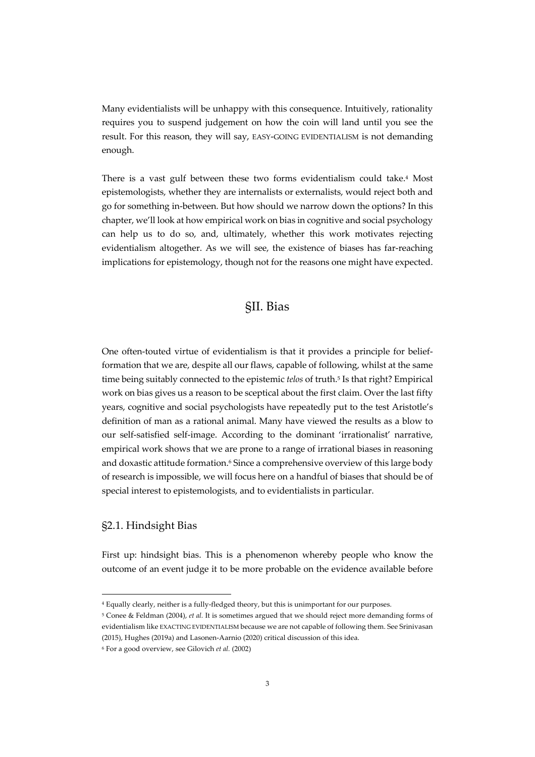Many evidentialists will be unhappy with this consequence. Intuitively, rationality requires you to suspend judgement on how the coin will land until you see the result. For this reason, they will say, EASY-GOING EVIDENTIALISM is not demanding enough.

There is a vast gulf between these two forms evidentialism could take.4 Most epistemologists, whether they are internalists or externalists, would reject both and go for something in-between. But how should we narrow down the options? In this chapter, we'll look at how empirical work on bias in cognitive and social psychology can help us to do so, and, ultimately, whether this work motivates rejecting evidentialism altogether. As we will see, the existence of biases has far-reaching implications for epistemology, though not for the reasons one might have expected.

#### §II. Bias

One often-touted virtue of evidentialism is that it provides a principle for beliefformation that we are, despite all our flaws, capable of following, whilst at the same time being suitably connected to the epistemic *telos* of truth.5 Is that right? Empirical work on bias gives us a reason to be sceptical about the first claim. Over the last fifty years, cognitive and social psychologists have repeatedly put to the test Aristotle's definition of man as a rational animal. Many have viewed the results as a blow to our self-satisfied self-image. According to the dominant 'irrationalist' narrative, empirical work shows that we are prone to a range of irrational biases in reasoning and doxastic attitude formation.<sup>6</sup> Since a comprehensive overview of this large body of research is impossible, we will focus here on a handful of biases that should be of special interest to epistemologists, and to evidentialists in particular.

#### §2.1. Hindsight Bias

First up: hindsight bias. This is a phenomenon whereby people who know the outcome of an event judge it to be more probable on the evidence available before

<sup>4</sup> Equally clearly, neither is a fully-fledged theory, but this is unimportant for our purposes.

<sup>5</sup> Conee & Feldman (2004), *et al.* It is sometimes argued that we should reject more demanding forms of evidentialism like EXACTING EVIDENTIALISM because we are not capable of following them. See Srinivasan (2015), Hughes (2019a) and Lasonen-Aarnio (2020) critical discussion of this idea.

<sup>6</sup> For a good overview, see Gilovich *et al.* (2002)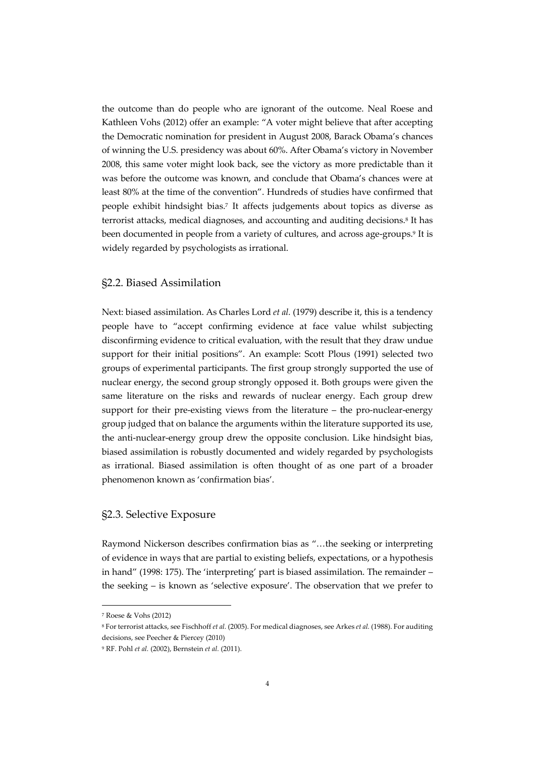the outcome than do people who are ignorant of the outcome. Neal Roese and Kathleen Vohs (2012) offer an example: "A voter might believe that after accepting the Democratic nomination for president in August 2008, Barack Obama's chances of winning the U.S. presidency was about 60%. After Obama's victory in November 2008, this same voter might look back, see the victory as more predictable than it was before the outcome was known, and conclude that Obama's chances were at least 80% at the time of the convention". Hundreds of studies have confirmed that people exhibit hindsight bias.7 It affects judgements about topics as diverse as terrorist attacks, medical diagnoses, and accounting and auditing decisions.<sup>8</sup> It has been documented in people from a variety of cultures, and across age-groups.9 It is widely regarded by psychologists as irrational.

#### §2.2. Biased Assimilation

Next: biased assimilation. As Charles Lord *et al.* (1979) describe it, this is a tendency people have to "accept confirming evidence at face value whilst subjecting disconfirming evidence to critical evaluation, with the result that they draw undue support for their initial positions". An example: Scott Plous (1991) selected two groups of experimental participants. The first group strongly supported the use of nuclear energy, the second group strongly opposed it. Both groups were given the same literature on the risks and rewards of nuclear energy. Each group drew support for their pre-existing views from the literature – the pro-nuclear-energy group judged that on balance the arguments within the literature supported its use, the anti-nuclear-energy group drew the opposite conclusion. Like hindsight bias, biased assimilation is robustly documented and widely regarded by psychologists as irrational. Biased assimilation is often thought of as one part of a broader phenomenon known as 'confirmation bias'.

#### §2.3. Selective Exposure

Raymond Nickerson describes confirmation bias as "…the seeking or interpreting of evidence in ways that are partial to existing beliefs, expectations, or a hypothesis in hand" (1998: 175). The 'interpreting' part is biased assimilation. The remainder – the seeking – is known as 'selective exposure'. The observation that we prefer to

<sup>7</sup> Roese & Vohs (2012)

<sup>8</sup> For terrorist attacks, see Fischhoff *et al.* (2005). For medical diagnoses, see Arkes *et al.* (1988). For auditing decisions, see Peecher & Piercey (2010)

<sup>9</sup> RF. Pohl *et al.* (2002), Bernstein *et al.* (2011).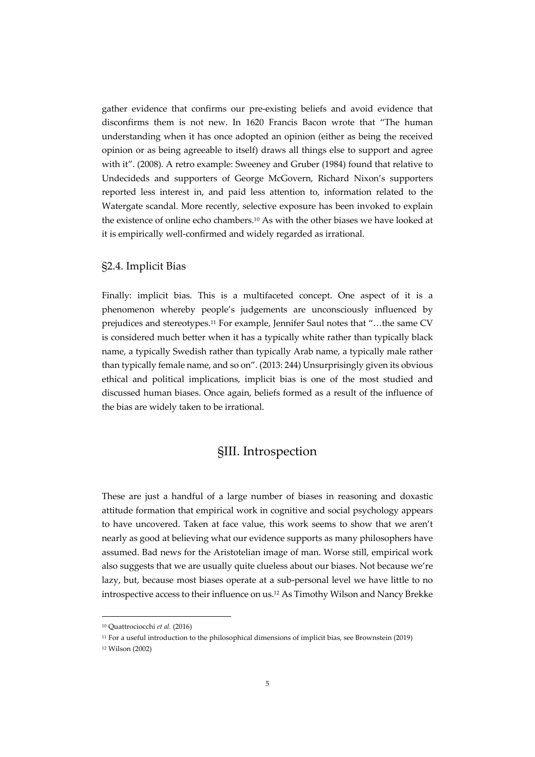gather evidence that confirms our pre-existing beliefs and avoid evidence that disconfirms them is not new. In 1620 Francis Bacon wrote that "The human understanding when it has once adopted an opinion (either as being the received opinion or as being agreeable to itself) draws all things else to support and agree with it". (2008). A retro example: Sweeney and Gruber (1984) found that relative to Undecideds and supporters of George McGovern, Richard Nixon's supporters reported less interest in, and paid less attention to, information related to the Watergate scandal. More recently, selective exposure has been invoked to explain the existence of online echo chambers.10 As with the other biases we have looked at it is empirically well-confirmed and widely regarded as irrational.

#### §2.4. Implicit Bias

Finally: implicit bias. This is a multifaceted concept. One aspect of it is a phenomenon whereby people's judgements are unconsciously influenced by prejudices and stereotypes.<sup>11</sup> For example, Jennifer Saul notes that "...the same CV is considered much better when it has a typically white rather than typically black name, a typically Swedish rather than typically Arab name, a typically male rather than typically female name, and so on". (2013: 244) Unsurprisingly given its obvious ethical and political implications, implicit bias is one of the most studied and discussed human biases. Once again, beliefs formed as a result of the influence of the bias are widely taken to be irrational.

### §III. Introspection

These are just a handful of a large number of biases in reasoning and doxastic attitude formation that empirical work in cognitive and social psychology appears to have uncovered. Taken at face value, this work seems to show that we aren't nearly as good at believing what our evidence supports as many philosophers have assumed. Bad news for the Aristotelian image of man. Worse still, empirical work also suggests that we are usually quite clueless about our biases. Not because we're lazy, but, because most biases operate at a sub-personal level we have little to no introspective access to their influence on us.12 As Timothy Wilson and Nancy Brekke

<sup>10</sup> Quattrociocchi *et al.* (2016)

<sup>11</sup> For a useful introduction to the philosophical dimensions of implicit bias, see Brownstein (2019) <sup>12</sup> Wilson (2002)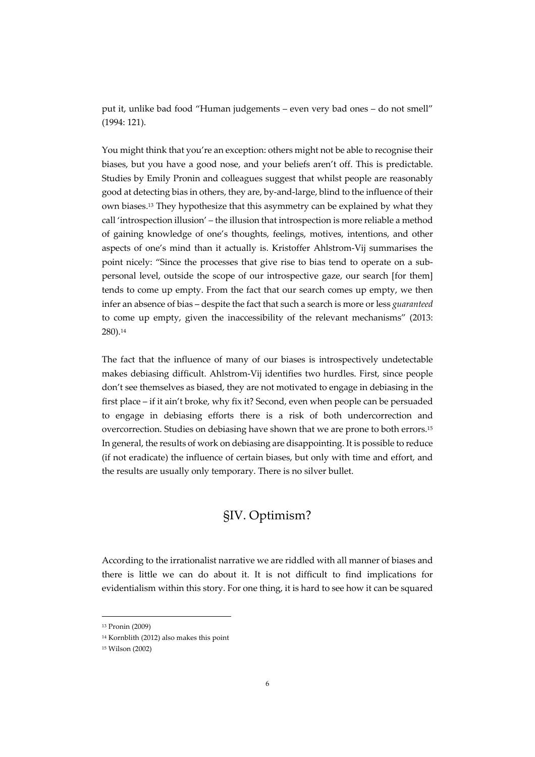put it, unlike bad food "Human judgements – even very bad ones – do not smell" (1994: 121).

You might think that you're an exception: others might not be able to recognise their biases, but you have a good nose, and your beliefs aren't off. This is predictable. Studies by Emily Pronin and colleagues suggest that whilst people are reasonably good at detecting bias in others, they are, by-and-large, blind to the influence of their own biases.13 They hypothesize that this asymmetry can be explained by what they call 'introspection illusion' – the illusion that introspection is more reliable a method of gaining knowledge of one's thoughts, feelings, motives, intentions, and other aspects of one's mind than it actually is. Kristoffer Ahlstrom-Vij summarises the point nicely: "Since the processes that give rise to bias tend to operate on a subpersonal level, outside the scope of our introspective gaze, our search [for them] tends to come up empty. From the fact that our search comes up empty, we then infer an absence of bias – despite the fact that such a search is more or less *guaranteed* to come up empty, given the inaccessibility of the relevant mechanisms" (2013: 280).14

The fact that the influence of many of our biases is introspectively undetectable makes debiasing difficult. Ahlstrom-Vij identifies two hurdles. First, since people don't see themselves as biased, they are not motivated to engage in debiasing in the first place – if it ain't broke, why fix it? Second, even when people can be persuaded to engage in debiasing efforts there is a risk of both undercorrection and overcorrection. Studies on debiasing have shown that we are prone to both errors.15 In general, the results of work on debiasing are disappointing. It is possible to reduce (if not eradicate) the influence of certain biases, but only with time and effort, and the results are usually only temporary. There is no silver bullet.

# §IV. Optimism?

According to the irrationalist narrative we are riddled with all manner of biases and there is little we can do about it. It is not difficult to find implications for evidentialism within this story. For one thing, it is hard to see how it can be squared

<sup>13</sup> Pronin (2009)

<sup>14</sup> Kornblith (2012) also makes this point

<sup>15</sup> Wilson (2002)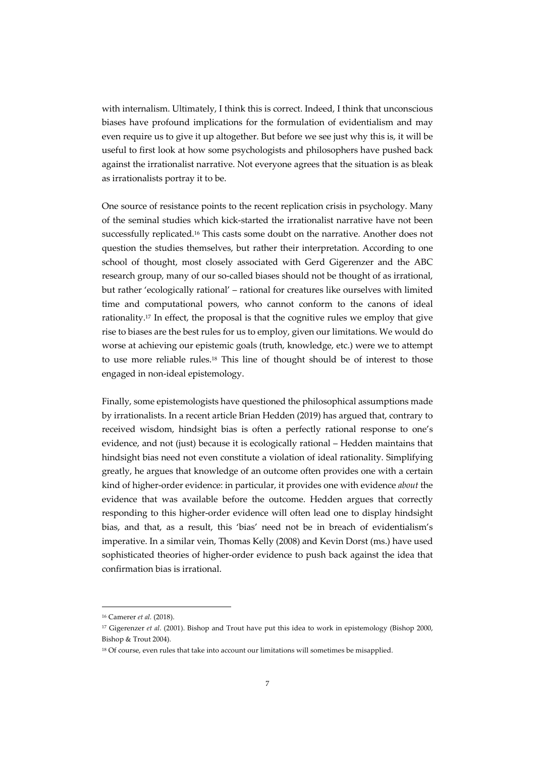with internalism. Ultimately, I think this is correct. Indeed, I think that unconscious biases have profound implications for the formulation of evidentialism and may even require us to give it up altogether. But before we see just why this is, it will be useful to first look at how some psychologists and philosophers have pushed back against the irrationalist narrative. Not everyone agrees that the situation is as bleak as irrationalists portray it to be.

One source of resistance points to the recent replication crisis in psychology. Many of the seminal studies which kick-started the irrationalist narrative have not been successfully replicated.16 This casts some doubt on the narrative. Another does not question the studies themselves, but rather their interpretation. According to one school of thought, most closely associated with Gerd Gigerenzer and the ABC research group, many of our so-called biases should not be thought of as irrational, but rather 'ecologically rational' – rational for creatures like ourselves with limited time and computational powers, who cannot conform to the canons of ideal rationality.17 In effect, the proposal is that the cognitive rules we employ that give rise to biases are the best rules for us to employ, given our limitations. We would do worse at achieving our epistemic goals (truth, knowledge, etc.) were we to attempt to use more reliable rules.18 This line of thought should be of interest to those engaged in non-ideal epistemology.

Finally, some epistemologists have questioned the philosophical assumptions made by irrationalists. In a recent article Brian Hedden (2019) has argued that, contrary to received wisdom, hindsight bias is often a perfectly rational response to one's evidence, and not (just) because it is ecologically rational – Hedden maintains that hindsight bias need not even constitute a violation of ideal rationality. Simplifying greatly, he argues that knowledge of an outcome often provides one with a certain kind of higher-order evidence: in particular, it provides one with evidence *about* the evidence that was available before the outcome. Hedden argues that correctly responding to this higher-order evidence will often lead one to display hindsight bias, and that, as a result, this 'bias' need not be in breach of evidentialism's imperative. In a similar vein, Thomas Kelly (2008) and Kevin Dorst (ms.) have used sophisticated theories of higher-order evidence to push back against the idea that confirmation bias is irrational.

<sup>16</sup> Camerer *et al.* (2018).

<sup>17</sup> Gigerenzer *et al*. (2001). Bishop and Trout have put this idea to work in epistemology (Bishop 2000, Bishop & Trout 2004).

<sup>&</sup>lt;sup>18</sup> Of course, even rules that take into account our limitations will sometimes be misapplied.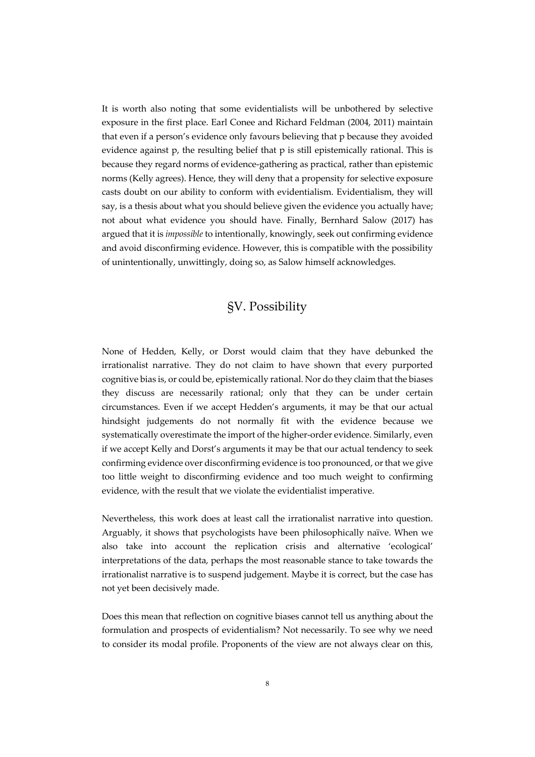It is worth also noting that some evidentialists will be unbothered by selective exposure in the first place. Earl Conee and Richard Feldman (2004, 2011) maintain that even if a person's evidence only favours believing that p because they avoided evidence against p, the resulting belief that p is still epistemically rational. This is because they regard norms of evidence-gathering as practical, rather than epistemic norms (Kelly agrees). Hence, they will deny that a propensity for selective exposure casts doubt on our ability to conform with evidentialism. Evidentialism, they will say, is a thesis about what you should believe given the evidence you actually have; not about what evidence you should have. Finally, Bernhard Salow (2017) has argued that it is *impossible* to intentionally, knowingly, seek out confirming evidence and avoid disconfirming evidence. However, this is compatible with the possibility of unintentionally, unwittingly, doing so, as Salow himself acknowledges.

# §V. Possibility

None of Hedden, Kelly, or Dorst would claim that they have debunked the irrationalist narrative. They do not claim to have shown that every purported cognitive bias is, or could be, epistemically rational. Nor do they claim that the biases they discuss are necessarily rational; only that they can be under certain circumstances. Even if we accept Hedden's arguments, it may be that our actual hindsight judgements do not normally fit with the evidence because we systematically overestimate the import of the higher-order evidence. Similarly, even if we accept Kelly and Dorst's arguments it may be that our actual tendency to seek confirming evidence over disconfirming evidence is too pronounced, or that we give too little weight to disconfirming evidence and too much weight to confirming evidence, with the result that we violate the evidentialist imperative.

Nevertheless, this work does at least call the irrationalist narrative into question. Arguably, it shows that psychologists have been philosophically naïve. When we also take into account the replication crisis and alternative 'ecological' interpretations of the data, perhaps the most reasonable stance to take towards the irrationalist narrative is to suspend judgement. Maybe it is correct, but the case has not yet been decisively made.

Does this mean that reflection on cognitive biases cannot tell us anything about the formulation and prospects of evidentialism? Not necessarily. To see why we need to consider its modal profile. Proponents of the view are not always clear on this,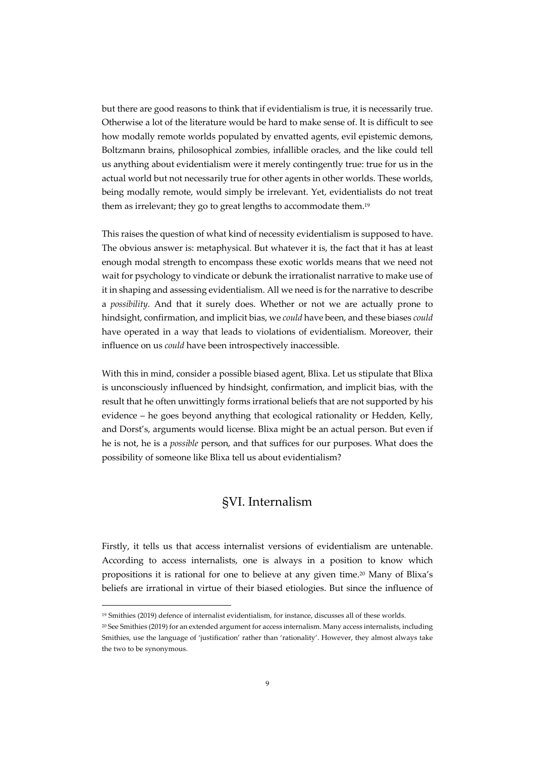but there are good reasons to think that if evidentialism is true, it is necessarily true. Otherwise a lot of the literature would be hard to make sense of. It is difficult to see how modally remote worlds populated by envatted agents, evil epistemic demons, Boltzmann brains, philosophical zombies, infallible oracles, and the like could tell us anything about evidentialism were it merely contingently true: true for us in the actual world but not necessarily true for other agents in other worlds. These worlds, being modally remote, would simply be irrelevant. Yet, evidentialists do not treat them as irrelevant; they go to great lengths to accommodate them.19

This raises the question of what kind of necessity evidentialism is supposed to have. The obvious answer is: metaphysical. But whatever it is, the fact that it has at least enough modal strength to encompass these exotic worlds means that we need not wait for psychology to vindicate or debunk the irrationalist narrative to make use of it in shaping and assessing evidentialism. All we need is for the narrative to describe a *possibility*. And that it surely does. Whether or not we are actually prone to hindsight, confirmation, and implicit bias, we *could* have been, and these biases *could* have operated in a way that leads to violations of evidentialism. Moreover, their influence on us *could* have been introspectively inaccessible.

With this in mind, consider a possible biased agent, Blixa. Let us stipulate that Blixa is unconsciously influenced by hindsight, confirmation, and implicit bias, with the result that he often unwittingly forms irrational beliefs that are not supported by his evidence – he goes beyond anything that ecological rationality or Hedden, Kelly, and Dorst's, arguments would license. Blixa might be an actual person. But even if he is not, he is a *possible* person, and that suffices for our purposes. What does the possibility of someone like Blixa tell us about evidentialism?

### §VI. Internalism

Firstly, it tells us that access internalist versions of evidentialism are untenable. According to access internalists, one is always in a position to know which propositions it is rational for one to believe at any given time.20 Many of Blixa's beliefs are irrational in virtue of their biased etiologies. But since the influence of

<sup>19</sup> Smithies (2019) defence of internalist evidentialism, for instance, discusses all of these worlds.

<sup>20</sup> See Smithies (2019) for an extended argument for access internalism. Many access internalists, including Smithies, use the language of 'justification' rather than 'rationality'. However, they almost always take the two to be synonymous.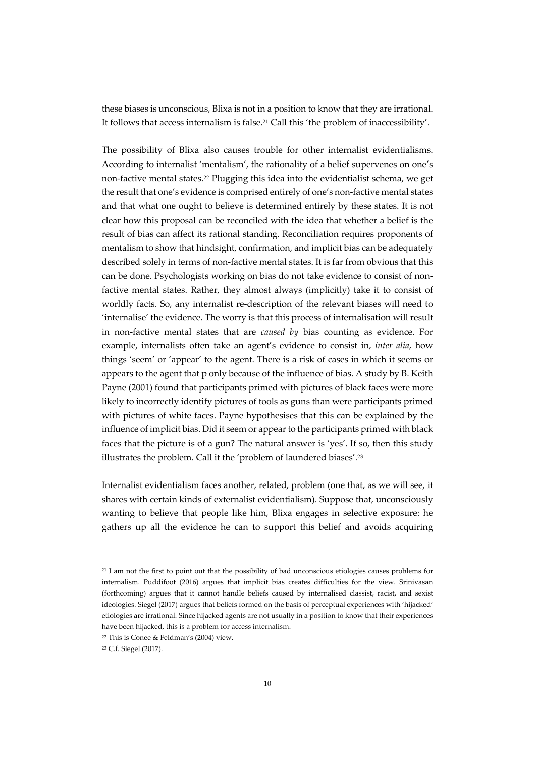these biases is unconscious, Blixa is not in a position to know that they are irrational. It follows that access internalism is false.21 Call this 'the problem of inaccessibility'.

The possibility of Blixa also causes trouble for other internalist evidentialisms. According to internalist 'mentalism', the rationality of a belief supervenes on one's non-factive mental states.22 Plugging this idea into the evidentialist schema, we get the result that one's evidence is comprised entirely of one's non-factive mental states and that what one ought to believe is determined entirely by these states. It is not clear how this proposal can be reconciled with the idea that whether a belief is the result of bias can affect its rational standing. Reconciliation requires proponents of mentalism to show that hindsight, confirmation, and implicit bias can be adequately described solely in terms of non-factive mental states. It is far from obvious that this can be done. Psychologists working on bias do not take evidence to consist of nonfactive mental states. Rather, they almost always (implicitly) take it to consist of worldly facts. So, any internalist re-description of the relevant biases will need to 'internalise' the evidence. The worry is that this process of internalisation will result in non-factive mental states that are *caused by* bias counting as evidence. For example, internalists often take an agent's evidence to consist in, *inter alia*, how things 'seem' or 'appear' to the agent. There is a risk of cases in which it seems or appears to the agent that p only because of the influence of bias. A study by B. Keith Payne (2001) found that participants primed with pictures of black faces were more likely to incorrectly identify pictures of tools as guns than were participants primed with pictures of white faces. Payne hypothesises that this can be explained by the influence of implicit bias. Did it seem or appear to the participants primed with black faces that the picture is of a gun? The natural answer is 'yes'. If so, then this study illustrates the problem. Call it the 'problem of laundered biases'.23

Internalist evidentialism faces another, related, problem (one that, as we will see, it shares with certain kinds of externalist evidentialism). Suppose that, unconsciously wanting to believe that people like him, Blixa engages in selective exposure: he gathers up all the evidence he can to support this belief and avoids acquiring

<sup>&</sup>lt;sup>21</sup> I am not the first to point out that the possibility of bad unconscious etiologies causes problems for internalism. Puddifoot (2016) argues that implicit bias creates difficulties for the view. Srinivasan (forthcoming) argues that it cannot handle beliefs caused by internalised classist, racist, and sexist ideologies. Siegel (2017) argues that beliefs formed on the basis of perceptual experiences with 'hijacked' etiologies are irrational. Since hijacked agents are not usually in a position to know that their experiences have been hijacked, this is a problem for access internalism.

<sup>22</sup> This is Conee & Feldman's (2004) view.

<sup>23</sup> C.f. Siegel (2017).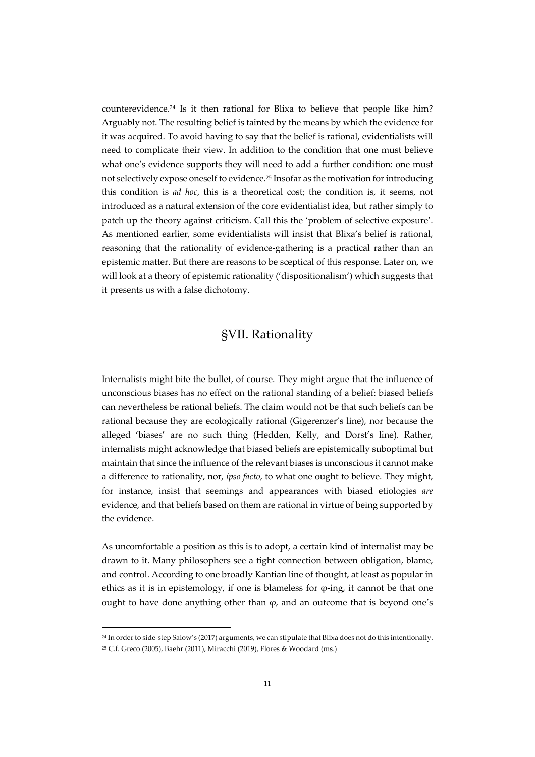counterevidence.24 Is it then rational for Blixa to believe that people like him? Arguably not. The resulting belief is tainted by the means by which the evidence for it was acquired. To avoid having to say that the belief is rational, evidentialists will need to complicate their view. In addition to the condition that one must believe what one's evidence supports they will need to add a further condition: one must not selectively expose oneself to evidence.25 Insofar as the motivation for introducing this condition is *ad hoc*, this is a theoretical cost; the condition is, it seems, not introduced as a natural extension of the core evidentialist idea, but rather simply to patch up the theory against criticism. Call this the 'problem of selective exposure'. As mentioned earlier, some evidentialists will insist that Blixa's belief is rational, reasoning that the rationality of evidence-gathering is a practical rather than an epistemic matter. But there are reasons to be sceptical of this response. Later on, we will look at a theory of epistemic rationality ('dispositionalism') which suggests that it presents us with a false dichotomy.

# §VII. Rationality

Internalists might bite the bullet, of course. They might argue that the influence of unconscious biases has no effect on the rational standing of a belief: biased beliefs can nevertheless be rational beliefs. The claim would not be that such beliefs can be rational because they are ecologically rational (Gigerenzer's line), nor because the alleged 'biases' are no such thing (Hedden, Kelly, and Dorst's line). Rather, internalists might acknowledge that biased beliefs are epistemically suboptimal but maintain that since the influence of the relevant biases is unconscious it cannot make a difference to rationality, nor, *ipso facto*, to what one ought to believe. They might, for instance, insist that seemings and appearances with biased etiologies *are* evidence, and that beliefs based on them are rational in virtue of being supported by the evidence.

As uncomfortable a position as this is to adopt, a certain kind of internalist may be drawn to it. Many philosophers see a tight connection between obligation, blame, and control. According to one broadly Kantian line of thought, at least as popular in ethics as it is in epistemology, if one is blameless for  $\varphi$ -ing, it cannot be that one ought to have done anything other than  $\varphi$ , and an outcome that is beyond one's

<sup>24</sup> In order to side-step Salow's (2017) arguments, we can stipulate that Blixa does not do this intentionally.

<sup>25</sup> C.f. Greco (2005), Baehr (2011), Miracchi (2019), Flores & Woodard (ms.)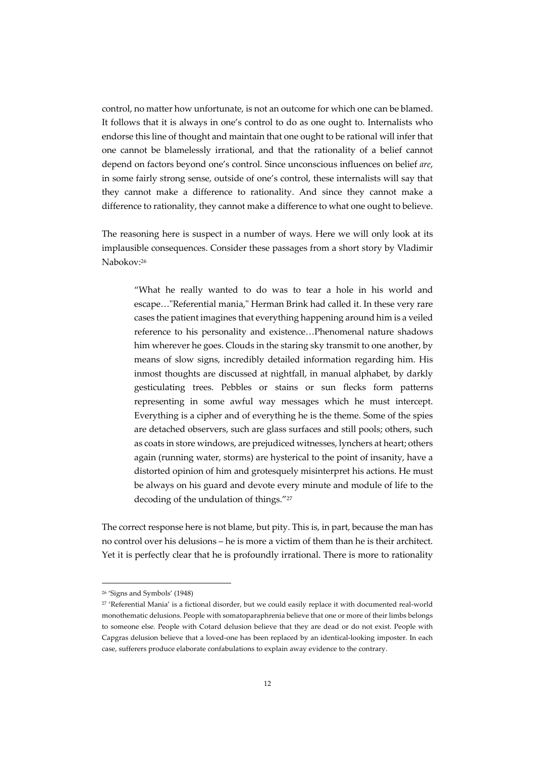control, no matter how unfortunate, is not an outcome for which one can be blamed. It follows that it is always in one's control to do as one ought to. Internalists who endorse this line of thought and maintain that one ought to be rational will infer that one cannot be blamelessly irrational, and that the rationality of a belief cannot depend on factors beyond one's control. Since unconscious influences on belief *are*, in some fairly strong sense, outside of one's control, these internalists will say that they cannot make a difference to rationality. And since they cannot make a difference to rationality, they cannot make a difference to what one ought to believe.

The reasoning here is suspect in a number of ways. Here we will only look at its implausible consequences. Consider these passages from a short story by Vladimir Nabokov:26

"What he really wanted to do was to tear a hole in his world and escape…"Referential mania," Herman Brink had called it. In these very rare cases the patient imagines that everything happening around him is a veiled reference to his personality and existence…Phenomenal nature shadows him wherever he goes. Clouds in the staring sky transmit to one another, by means of slow signs, incredibly detailed information regarding him. His inmost thoughts are discussed at nightfall, in manual alphabet, by darkly gesticulating trees. Pebbles or stains or sun flecks form patterns representing in some awful way messages which he must intercept. Everything is a cipher and of everything he is the theme. Some of the spies are detached observers, such are glass surfaces and still pools; others, such as coats in store windows, are prejudiced witnesses, lynchers at heart; others again (running water, storms) are hysterical to the point of insanity, have a distorted opinion of him and grotesquely misinterpret his actions. He must be always on his guard and devote every minute and module of life to the decoding of the undulation of things."27

The correct response here is not blame, but pity. This is, in part, because the man has no control over his delusions – he is more a victim of them than he is their architect. Yet it is perfectly clear that he is profoundly irrational. There is more to rationality

<sup>26</sup> 'Signs and Symbols' (1948)

<sup>&</sup>lt;sup>27</sup> 'Referential Mania' is a fictional disorder, but we could easily replace it with documented real-world monothematic delusions. People with somatoparaphrenia believe that one or more of their limbs belongs to someone else. People with Cotard delusion believe that they are dead or do not exist. People with Capgras delusion believe that a loved-one has been replaced by an identical-looking imposter. In each case, sufferers produce elaborate confabulations to explain away evidence to the contrary.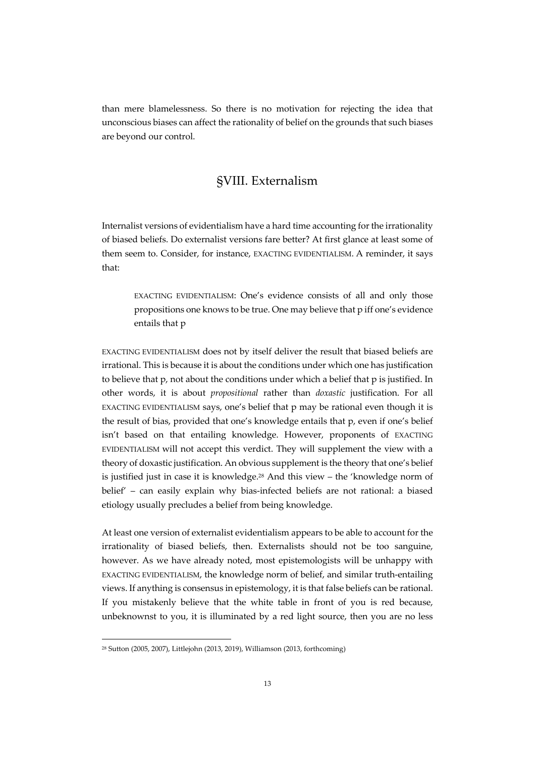than mere blamelessness. So there is no motivation for rejecting the idea that unconscious biases can affect the rationality of belief on the grounds that such biases are beyond our control.

### §VIII. Externalism

Internalist versions of evidentialism have a hard time accounting for the irrationality of biased beliefs. Do externalist versions fare better? At first glance at least some of them seem to. Consider, for instance, EXACTING EVIDENTIALISM. A reminder, it says that:

EXACTING EVIDENTIALISM: One's evidence consists of all and only those propositions one knows to be true. One may believe that p iff one's evidence entails that p

EXACTING EVIDENTIALISM does not by itself deliver the result that biased beliefs are irrational. This is because it is about the conditions under which one has justification to believe that p, not about the conditions under which a belief that p is justified. In other words, it is about *propositional* rather than *doxastic* justification. For all EXACTING EVIDENTIALISM says, one's belief that p may be rational even though it is the result of bias, provided that one's knowledge entails that p, even if one's belief isn't based on that entailing knowledge. However, proponents of EXACTING EVIDENTIALISM will not accept this verdict. They will supplement the view with a theory of doxastic justification. An obvious supplement is the theory that one's belief is justified just in case it is knowledge.28 And this view – the 'knowledge norm of belief' – can easily explain why bias-infected beliefs are not rational: a biased etiology usually precludes a belief from being knowledge.

At least one version of externalist evidentialism appears to be able to account for the irrationality of biased beliefs, then. Externalists should not be too sanguine, however. As we have already noted, most epistemologists will be unhappy with EXACTING EVIDENTIALISM, the knowledge norm of belief, and similar truth-entailing views. If anything is consensus in epistemology, it is that false beliefs can be rational. If you mistakenly believe that the white table in front of you is red because, unbeknownst to you, it is illuminated by a red light source, then you are no less

<sup>28</sup> Sutton (2005, 2007), Littlejohn (2013, 2019), Williamson (2013, forthcoming)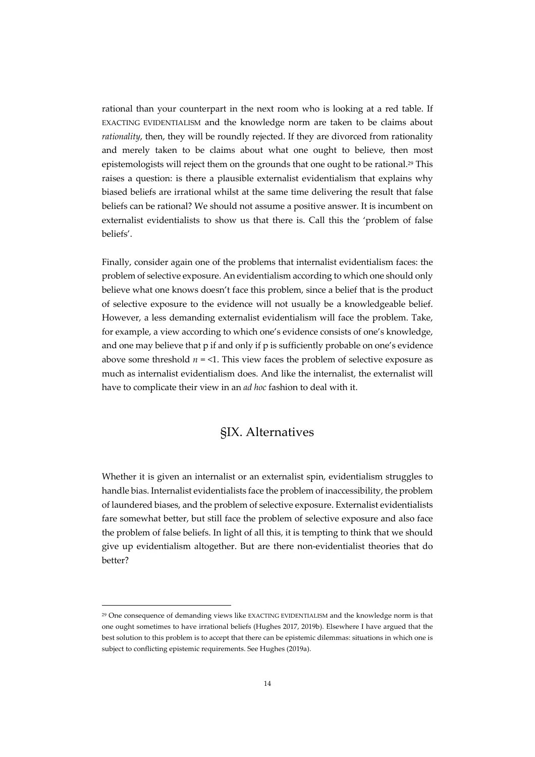rational than your counterpart in the next room who is looking at a red table. If EXACTING EVIDENTIALISM and the knowledge norm are taken to be claims about *rationality*, then, they will be roundly rejected. If they are divorced from rationality and merely taken to be claims about what one ought to believe, then most epistemologists will reject them on the grounds that one ought to be rational.<sup>29</sup> This raises a question: is there a plausible externalist evidentialism that explains why biased beliefs are irrational whilst at the same time delivering the result that false beliefs can be rational? We should not assume a positive answer. It is incumbent on externalist evidentialists to show us that there is. Call this the 'problem of false beliefs'.

Finally, consider again one of the problems that internalist evidentialism faces: the problem of selective exposure. An evidentialism according to which one should only believe what one knows doesn't face this problem, since a belief that is the product of selective exposure to the evidence will not usually be a knowledgeable belief. However, a less demanding externalist evidentialism will face the problem. Take, for example, a view according to which one's evidence consists of one's knowledge, and one may believe that p if and only if p is sufficiently probable on one's evidence above some threshold  $n = 1$ . This view faces the problem of selective exposure as much as internalist evidentialism does. And like the internalist, the externalist will have to complicate their view in an *ad hoc* fashion to deal with it.

### §IX. Alternatives

Whether it is given an internalist or an externalist spin, evidentialism struggles to handle bias. Internalist evidentialists face the problem of inaccessibility, the problem of laundered biases, and the problem of selective exposure. Externalist evidentialists fare somewhat better, but still face the problem of selective exposure and also face the problem of false beliefs. In light of all this, it is tempting to think that we should give up evidentialism altogether. But are there non-evidentialist theories that do better?

<sup>29</sup> One consequence of demanding views like EXACTING EVIDENTIALISM and the knowledge norm is that one ought sometimes to have irrational beliefs (Hughes 2017, 2019b). Elsewhere I have argued that the best solution to this problem is to accept that there can be epistemic dilemmas: situations in which one is subject to conflicting epistemic requirements. See Hughes (2019a).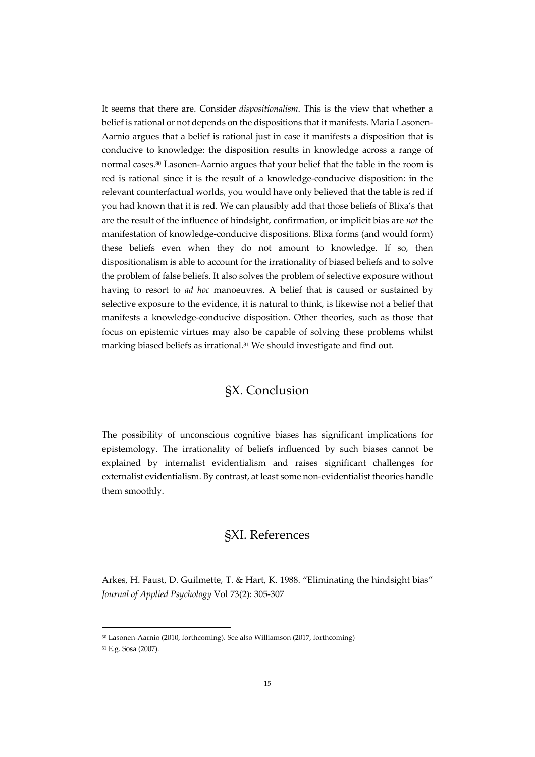It seems that there are. Consider *dispositionalism*. This is the view that whether a belief is rational or not depends on the dispositions that it manifests. Maria Lasonen-Aarnio argues that a belief is rational just in case it manifests a disposition that is conducive to knowledge: the disposition results in knowledge across a range of normal cases.30 Lasonen-Aarnio argues that your belief that the table in the room is red is rational since it is the result of a knowledge-conducive disposition: in the relevant counterfactual worlds, you would have only believed that the table is red if you had known that it is red. We can plausibly add that those beliefs of Blixa's that are the result of the influence of hindsight, confirmation, or implicit bias are *not* the manifestation of knowledge-conducive dispositions. Blixa forms (and would form) these beliefs even when they do not amount to knowledge. If so, then dispositionalism is able to account for the irrationality of biased beliefs and to solve the problem of false beliefs. It also solves the problem of selective exposure without having to resort to *ad hoc* manoeuvres. A belief that is caused or sustained by selective exposure to the evidence, it is natural to think, is likewise not a belief that manifests a knowledge-conducive disposition. Other theories, such as those that focus on epistemic virtues may also be capable of solving these problems whilst marking biased beliefs as irrational.<sup>31</sup> We should investigate and find out.

# §X. Conclusion

The possibility of unconscious cognitive biases has significant implications for epistemology. The irrationality of beliefs influenced by such biases cannot be explained by internalist evidentialism and raises significant challenges for externalist evidentialism. By contrast, at least some non-evidentialist theories handle them smoothly.

### §XI. References

Arkes, H. Faust, D. Guilmette, T. & Hart, K. 1988. "Eliminating the hindsight bias" *Journal of Applied Psychology* Vol 73(2): 305-307

<sup>30</sup> Lasonen-Aarnio (2010, forthcoming). See also Williamson (2017, forthcoming)

<sup>31</sup> E.g. Sosa (2007).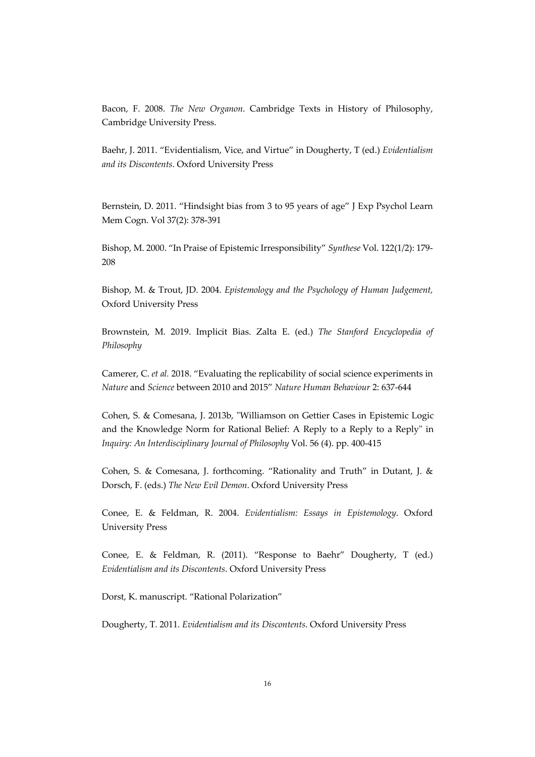Bacon, F. 2008. *The New Organon*. Cambridge Texts in History of Philosophy, Cambridge University Press.

Baehr, J. 2011. "Evidentialism, Vice, and Virtue" in Dougherty, T (ed.) *Evidentialism and its Discontents*. Oxford University Press

Bernstein, D. 2011. "Hindsight bias from 3 to 95 years of age" J Exp Psychol Learn Mem Cogn. Vol 37(2): 378-391

Bishop, M. 2000. "In Praise of Epistemic Irresponsibility" *Synthese* Vol. 122(1/2): 179- 208

Bishop, M. & Trout, JD. 2004. *Epistemology and the Psychology of Human Judgement,* Oxford University Press

Brownstein, M. 2019. Implicit Bias. Zalta E. (ed.) *The Stanford Encyclopedia of Philosophy*

Camerer, C. *et al.* 2018. "Evaluating the replicability of social science experiments in *Nature* and *Science* between 2010 and 2015" *Nature Human Behaviour* 2: 637-644

Cohen, S. & Comesana, J. 2013b, "Williamson on Gettier Cases in Epistemic Logic and the Knowledge Norm for Rational Belief: A Reply to a Reply to a Reply" in *Inquiry: An Interdisciplinary Journal of Philosophy* Vol. 56 (4). pp. 400-415

Cohen, S. & Comesana, J. forthcoming. "Rationality and Truth" in Dutant, J. & Dorsch, F. (eds.) *The New Evil Demon*. Oxford University Press

Conee, E. & Feldman, R. 2004. *Evidentialism: Essays in Epistemology*. Oxford University Press

Conee, E. & Feldman, R. (2011). "Response to Baehr" Dougherty, T (ed.) *Evidentialism and its Discontents*. Oxford University Press

Dorst, K. manuscript. "Rational Polarization"

Dougherty, T. 2011. *Evidentialism and its Discontents*. Oxford University Press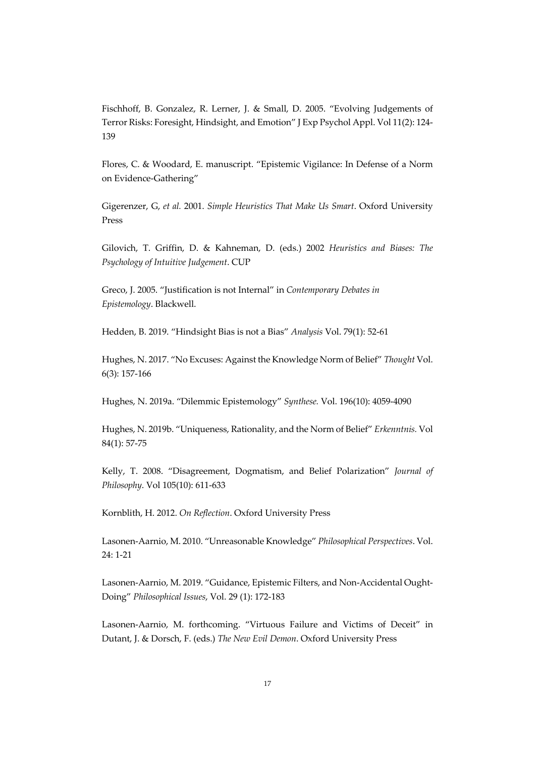Fischhoff, B. Gonzalez, R. Lerner, J. & Small, D. 2005. "Evolving Judgements of Terror Risks: Foresight, Hindsight, and Emotion" J Exp Psychol Appl. Vol 11(2): 124- 139

Flores, C. & Woodard, E. manuscript. "Epistemic Vigilance: In Defense of a Norm on Evidence-Gathering"

Gigerenzer, G, *et al.* 2001. *Simple Heuristics That Make Us Smart*. Oxford University Press

Gilovich, T. Griffin, D. & Kahneman, D. (eds.) 2002 *Heuristics and Biases: The Psychology of Intuitive Judgement*. CUP

Greco, J. 2005. "Justification is not Internal" in *Contemporary Debates in Epistemology*. Blackwell.

Hedden, B. 2019. "Hindsight Bias is not a Bias" *Analysis* Vol. 79(1): 52-61

Hughes, N. 2017. "No Excuses: Against the Knowledge Norm of Belief" *Thought* Vol. 6(3): 157-166

Hughes, N. 2019a. "Dilemmic Epistemology" *Synthese.* Vol. 196(10): 4059-4090

Hughes, N. 2019b. "Uniqueness, Rationality, and the Norm of Belief" *Erkenntnis.* Vol 84(1): 57-75

Kelly, T. 2008. "Disagreement, Dogmatism, and Belief Polarization" *Journal of Philosophy*. Vol 105(10): 611-633

Kornblith, H. 2012. *On Reflection*. Oxford University Press

Lasonen-Aarnio, M. 2010. "Unreasonable Knowledge" *Philosophical Perspectives*. Vol. 24: 1-21

Lasonen-Aarnio, M. 2019. "Guidance, Epistemic Filters, and Non-Accidental Ought-Doing" *Philosophical Issues*, Vol. 29 (1): 172-183

Lasonen-Aarnio, M. forthcoming. "Virtuous Failure and Victims of Deceit" in Dutant, J. & Dorsch, F. (eds.) *The New Evil Demon*. Oxford University Press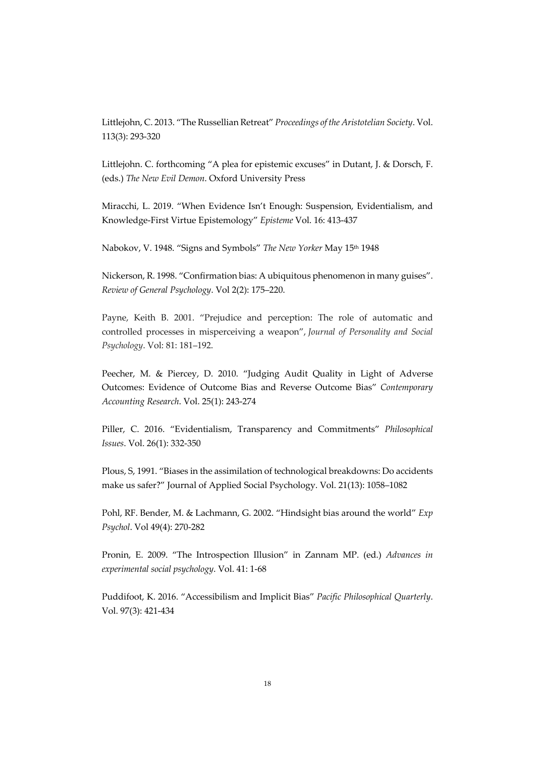Littlejohn, C. 2013. "The Russellian Retreat" *Proceedings of the Aristotelian Society*. Vol. 113(3): 293-320

Littlejohn. C. forthcoming "A plea for epistemic excuses" in Dutant, J. & Dorsch, F. (eds.) *The New Evil Demon*. Oxford University Press

Miracchi, L. 2019. "When Evidence Isn't Enough: Suspension, Evidentialism, and Knowledge-First Virtue Epistemology" *Episteme* Vol. 16: 413-437

Nabokov, V. 1948. "Signs and Symbols" *The New Yorker* May 15th 1948

Nickerson, R. 1998. "Confirmation bias: A ubiquitous phenomenon in many guises". *Review of General Psychology*. Vol 2(2): 175–220.

Payne, Keith B. 2001. "Prejudice and perception: The role of automatic and controlled processes in misperceiving a weapon", *Journal of Personality and Social Psychology*. Vol: 81: 181–192.

Peecher, M. & Piercey, D. 2010. "Judging Audit Quality in Light of Adverse Outcomes: Evidence of Outcome Bias and Reverse Outcome Bias" *Contemporary Accounting Research*. Vol. 25(1): 243-274

Piller, C. 2016. "Evidentialism, Transparency and Commitments" *Philosophical Issues*. Vol. 26(1): 332-350

Plous, S, 1991. "Biases in the assimilation of technological breakdowns: Do accidents make us safer?" Journal of Applied Social Psychology. Vol. 21(13): 1058–1082

Pohl, RF. Bender, M. & Lachmann, G. 2002. "Hindsight bias around the world" *Exp Psychol*. Vol 49(4): 270-282

Pronin, E. 2009. "The Introspection Illusion" in Zannam MP. (ed.) *Advances in experimental social psychology*. Vol. 41: 1-68

Puddifoot, K. 2016. "Accessibilism and Implicit Bias" *Pacific Philosophical Quarterly*. Vol. 97(3): 421-434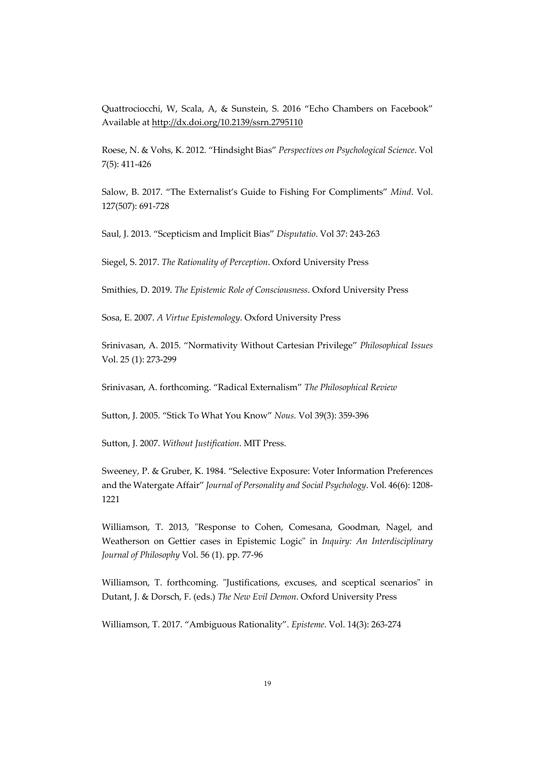Quattrociocchi, W, Scala, A, & Sunstein, S. 2016 "Echo Chambers on Facebook" Available at http://dx.doi.org/10.2139/ssrn.2795110

Roese, N. & Vohs, K. 2012. "Hindsight Bias" *Perspectives on Psychological Science*. Vol 7(5): 411-426

Salow, B. 2017. "The Externalist's Guide to Fishing For Compliments" *Mind*. Vol. 127(507): 691-728

Saul, J. 2013. "Scepticism and Implicit Bias" *Disputatio*. Vol 37: 243-263

Siegel, S. 2017. *The Rationality of Perception*. Oxford University Press

Smithies, D. 2019. *The Epistemic Role of Consciousness*. Oxford University Press

Sosa, E. 2007. *A Virtue Epistemology*. Oxford University Press

Srinivasan, A. 2015. "Normativity Without Cartesian Privilege" *Philosophical Issues* Vol. 25 (1): 273-299

Srinivasan, A. forthcoming. "Radical Externalism" *The Philosophical Review*

Sutton, J. 2005. "Stick To What You Know" *Nous.* Vol 39(3): 359-396

Sutton, J. 2007. *Without Justification*. MIT Press.

Sweeney, P. & Gruber, K. 1984. "Selective Exposure: Voter Information Preferences and the Watergate Affair" *Journal of Personality and Social Psychology*. Vol. 46(6): 1208- 1221

Williamson, T. 2013, "Response to Cohen, Comesana, Goodman, Nagel, and Weatherson on Gettier cases in Epistemic Logic" in *Inquiry: An Interdisciplinary Journal of Philosophy* Vol. 56 (1). pp. 77-96

Williamson, T. forthcoming. "Justifications, excuses, and sceptical scenarios" in Dutant, J. & Dorsch, F. (eds.) *The New Evil Demon*. Oxford University Press

Williamson, T. 2017. "Ambiguous Rationality". *Episteme*. Vol. 14(3): 263-274